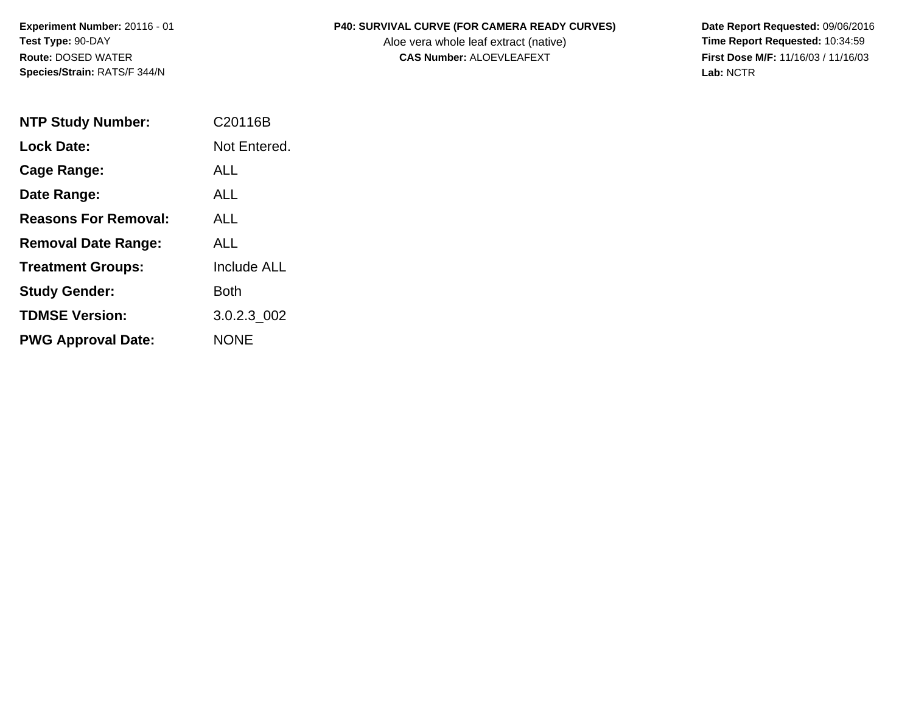**Experiment Number:** 20116 - 01 **Test Type:** 90-DAY **Route:** DOSED WATER **Species/Strain:** RATS/F 344/N

## **P40: SURVIVAL CURVE (FOR CAMERA READY CURVES) Date Report Requested:** 09/06/2016

Aloe vera whole leaf extract (native) **Time Report Requested:** 10:34:59 **CAS Number:** ALOEVLEAFEXT **First Dose M/F:** 11/16/03 / 11/16/03

**Lab:** NCTR

| <b>NTP Study Number:</b>    | C <sub>20116</sub> B |
|-----------------------------|----------------------|
| <b>Lock Date:</b>           | Not Entered.         |
| Cage Range:                 | <b>ALL</b>           |
| Date Range:                 | AI I                 |
| <b>Reasons For Removal:</b> | AI I                 |
| <b>Removal Date Range:</b>  | ALL                  |
| <b>Treatment Groups:</b>    | <b>Include ALL</b>   |
| <b>Study Gender:</b>        | Both                 |
| <b>TDMSE Version:</b>       | 3.0.2.3 002          |
| <b>PWG Approval Date:</b>   | <b>NONE</b>          |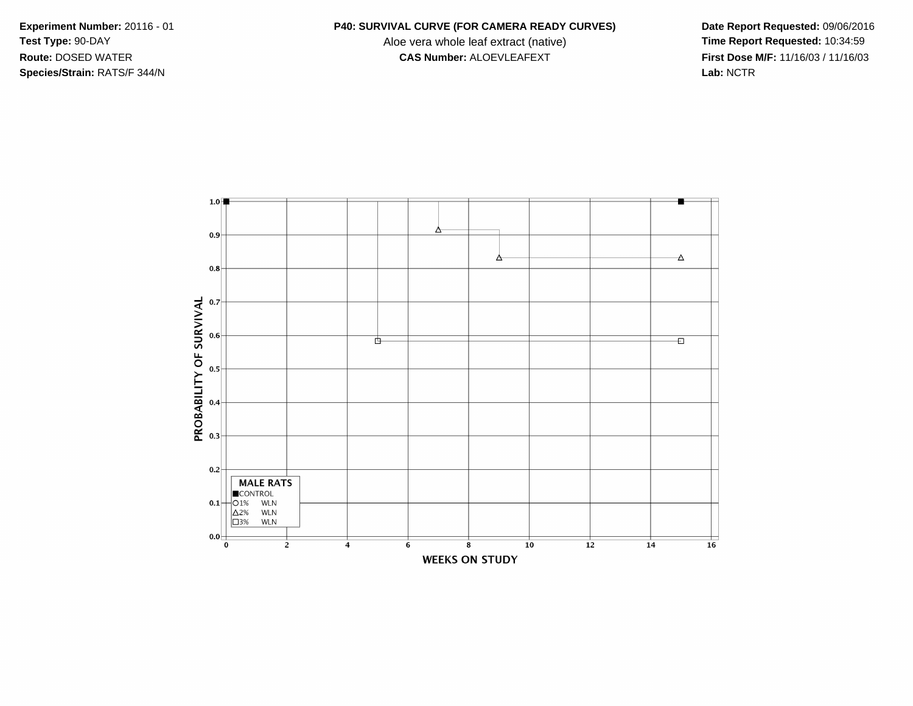**Species/Strain:** RATS/F 344/N **Lab:** NCTR

## **Experiment Number:** 20116 - 01 **P40: SURVIVAL CURVE (FOR CAMERA READY CURVES) Date Report Requested:** 09/06/2016

Test Type: 90-DAY **Aloe vera whole leaf extract (native) Time Report Requested:** 10:34:59 **Route:** DOSED WATER **CAS Number:** ALOEVLEAFEXT **First Dose M/F:** 11/16/03 / 11/16/03